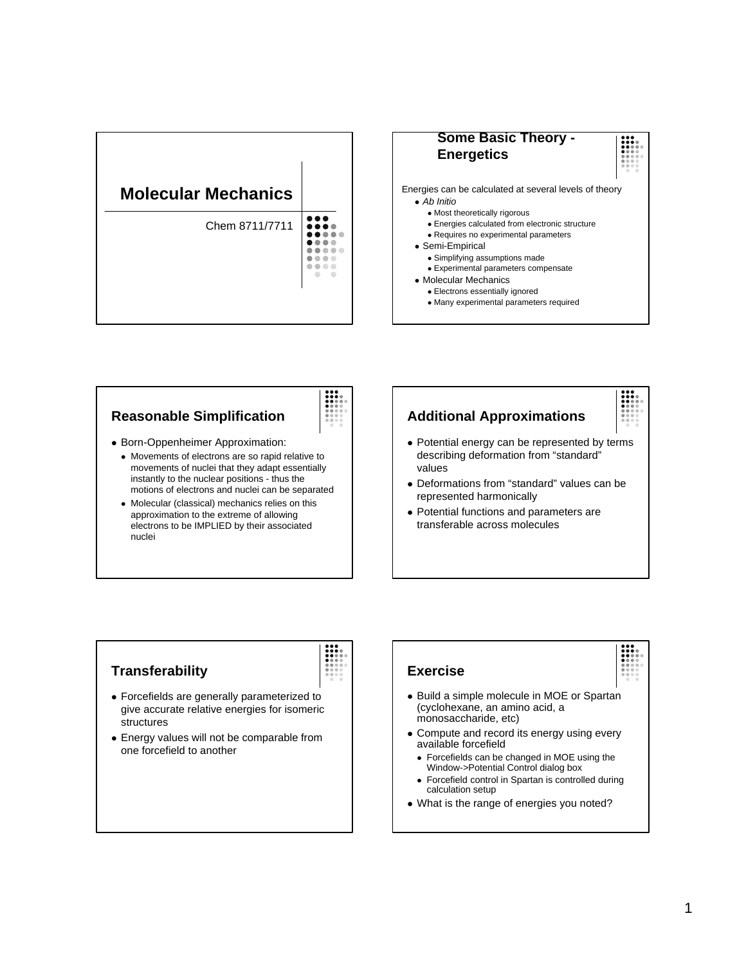



## **Reasonable Simplification**

- Born-Oppenheimer Approximation:
	- Movements of electrons are so rapid relative to movements of nuclei that they adapt essentially instantly to the nuclear positions - thus the motions of electrons and nuclei can be separated
	- Molecular (classical) mechanics relies on this approximation to the extreme of allowing electrons to be IMPLIED by their associated nuclei

## **Additional Approximations**

- Potential energy can be represented by terms describing deformation from "standard" values
- Deformations from "standard" values can be represented harmonically
- Potential functions and parameters are transferable across molecules

## **Transferability**



- Forcefields are generally parameterized to give accurate relative energies for isomeric structures
- Energy values will not be comparable from one forcefield to another

### **Exercise** • Build a simple molecule in MOE or Spartan (cyclohexane, an amino acid, a monosaccharide, etc) • Compute and record its energy using every available forcefield • Forcefields can be changed in MOE using the Window->Potential Control dialog box • Forcefield control in Spartan is controlled during calculation setup

• What is the range of energies you noted?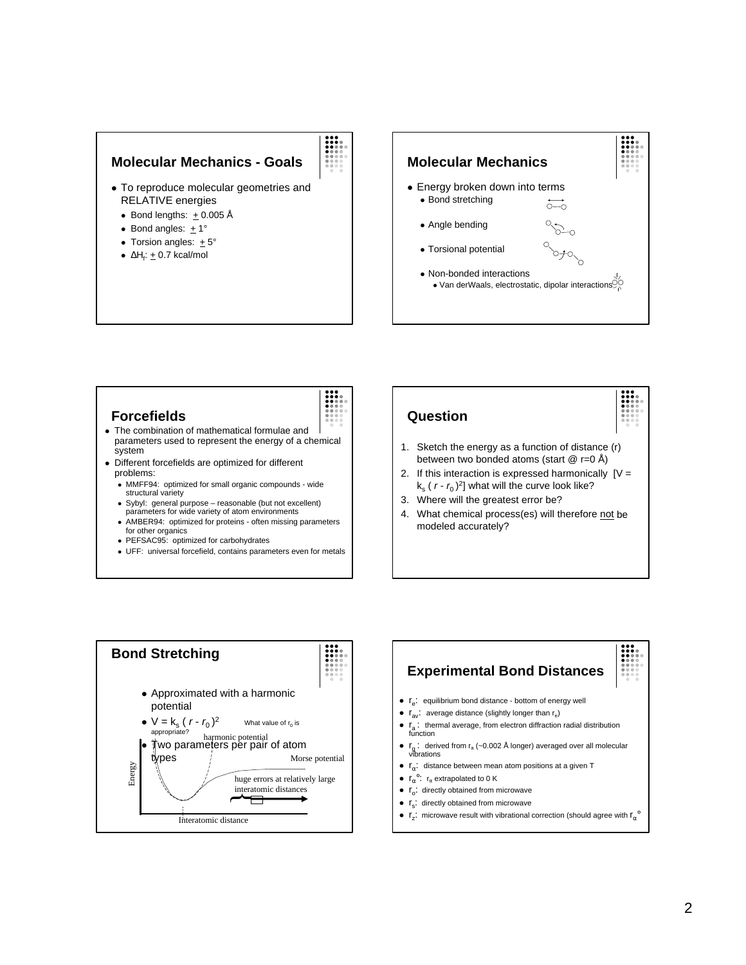### **Molecular Mechanics - Goals**

- To reproduce molecular geometries and RELATIVE energies
	- Bond lengths:  $+0.005 \text{ Å}$
	- Bond angles:  $+1^\circ$
	- Torsion angles:  $+5^{\circ}$
	- $\bullet$  ΔH<sub>f</sub>: <u>+</u> 0.7 kcal/mol



### **Forcefields**



- The combination of mathematical formulae and parameters used to represent the energy of a chemical system
- Different forcefields are optimized for different problems:
	- MMFF94: optimized for small organic compounds wide structural variety
	- Sybyl: general purpose reasonable (but not excellent) parameters for wide variety of atom environments
	- AMBER94: optimized for proteins often missing parameters for other organics
	- PEFSAC95: optimized for carbohydrates
	- UFF: universal forcefield, contains parameters even for metals





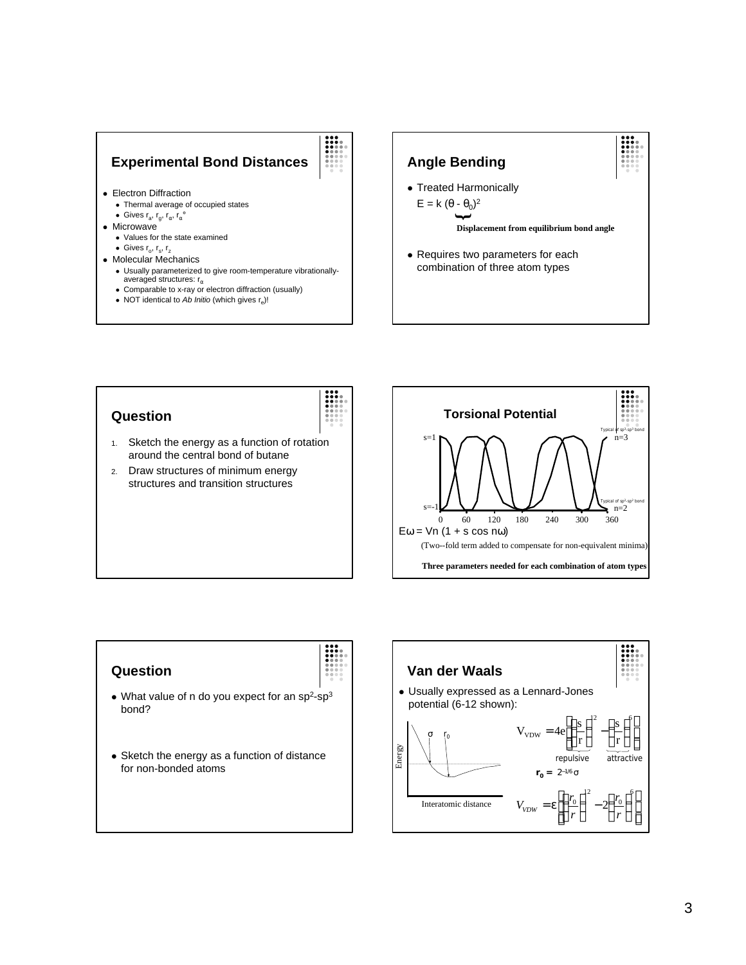# **Experimental Bond Distances**

- Electron Diffraction
	- Thermal average of occupied states
	- Gives  $r_a$ ,  $r_g$ ,  $r_\alpha$ ,  $r_\alpha^\circ$
- $\bullet$  Microwave
	- Values for the state examined
	- Gives  $r_{o}$ ,  $r_{s}$ ,  $r_{z}$
- Molecular Mechanics
	- Usually parameterized to give room-temperature vibrationallyaveraged structures:  $r_{\alpha}$
	- Comparable to x-ray or electron diffraction (usually)
	- NOT identical to *Ab Initio* (which gives r<sub>e</sub>)!



### **Question**



- 1. Sketch the energy as a function of rotation around the central bond of butane
- 2. Draw structures of minimum energy structures and transition structures



### **Question**

- What value of n do you expect for an sp<sup>2</sup>-sp<sup>3</sup> bond?
- Sketch the energy as a function of distance for non-bonded atoms